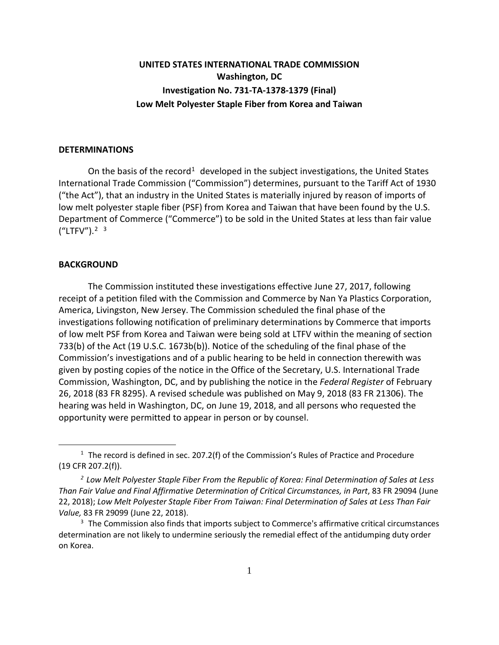## **UNITED STATES INTERNATIONAL TRADE COMMISSION Washington, DC Investigation No. 731-TA-1378-1379 (Final) Low Melt Polyester Staple Fiber from Korea and Taiwan**

## **DETERMINATIONS**

On the basis of the record<sup>[1](#page-0-0)</sup> developed in the subject investigations, the United States International Trade Commission ("Commission") determines, pursuant to the Tariff Act of 1930 ("the Act"), that an industry in the United States is materially injured by reason of imports of low melt polyester staple fiber (PSF) from Korea and Taiwan that have been found by the U.S. Department of Commerce ("Commerce") to be sold in the United States at less than fair value  $("LTFV").^{2}$  $("LTFV").^{2}$  $("LTFV").^{2}$ <sup>[3](#page-0-2)</sup>

## **BACKGROUND**

 $\overline{a}$ 

The Commission instituted these investigations effective June 27, 2017, following receipt of a petition filed with the Commission and Commerce by Nan Ya Plastics Corporation, America, Livingston, New Jersey. The Commission scheduled the final phase of the investigations following notification of preliminary determinations by Commerce that imports of low melt PSF from Korea and Taiwan were being sold at LTFV within the meaning of section 733(b) of the Act (19 U.S.C. 1673b(b)). Notice of the scheduling of the final phase of the Commission's investigations and of a public hearing to be held in connection therewith was given by posting copies of the notice in the Office of the Secretary, U.S. International Trade Commission, Washington, DC, and by publishing the notice in the *Federal Register* of February 26, 2018 (83 FR 8295). A revised schedule was published on May 9, 2018 (83 FR 21306). The hearing was held in Washington, DC, on June 19, 2018, and all persons who requested the opportunity were permitted to appear in person or by counsel.

<span id="page-0-0"></span> $1$  The record is defined in sec. 207.2(f) of the Commission's Rules of Practice and Procedure (19 CFR 207.2(f)).

<span id="page-0-1"></span>*<sup>2</sup> Low Melt Polyester Staple Fiber From the Republic of Korea: Final Determination of Sales at Less Than Fair Value and Final Affirmative Determination of Critical Circumstances, in Part*, 83 FR 29094 (June 22, 2018); *Low Melt Polyester Staple Fiber From Taiwan: Final Determination of Sales at Less Than Fair Value,* 83 FR 29099 (June 22, 2018).

<span id="page-0-2"></span><sup>&</sup>lt;sup>3</sup> The Commission also finds that imports subject to Commerce's affirmative critical circumstances determination are not likely to undermine seriously the remedial effect of the antidumping duty order on Korea.